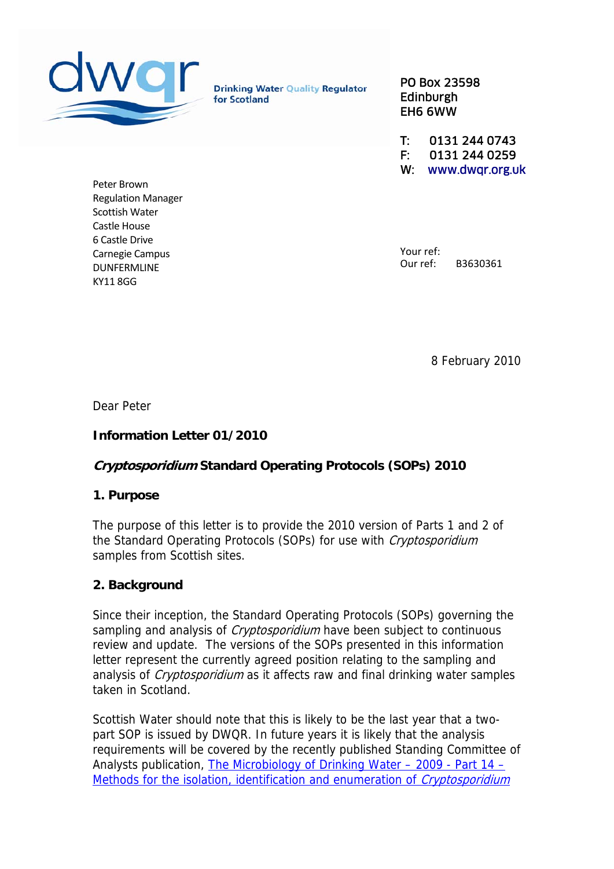

**Drinking Water Quality Regulator** for Scotland

PO Box 23598 Edinburgh EH6 6WW

T: 0131 244 0743 F: 0131 244 0259 W: www.dwqr.org.uk

Peter Brown Regulation Manager Scottish Water Castle House 6 Castle Drive Carnegie Campus DUNFERMLINE KY11 8GG

Your ref: Our ref: B3630361

8 February 2010

Dear Peter

# **Information Letter 01/2010**

### **Cryptosporidium Standard Operating Protocols (SOPs) 2010**

### **1. Purpose**

The purpose of this letter is to provide the 2010 version of Parts 1 and 2 of the Standard Operating Protocols (SOPs) for use with *Cryptosporidium* samples from Scottish sites.

### **2. Background**

Since their inception, the Standard Operating Protocols (SOPs) governing the sampling and analysis of *Cryptosporidium* have been subject to continuous review and update. The versions of the SOPs presented in this information letter represent the currently agreed position relating to the sampling and analysis of *Cryptosporidium* as it affects raw and final drinking water samples taken in Scotland.

Scottish Water should note that this is likely to be the last year that a twopart SOP is issued by DWQR. In future years it is likely that the analysis requirements will be covered by the recently published Standing Committee of Analysts publication, [The Microbiology of Drinking Water – 2009 - Part 14 –](http://www.environment-agency.gov.uk/static/documents/Research/MoDWPart14-224JUNEE.pdf) [Methods for the isolation, identification and enumeration of](http://www.environment-agency.gov.uk/static/documents/Research/MoDWPart14-224JUNEE.pdf) *Cryptosporidium*